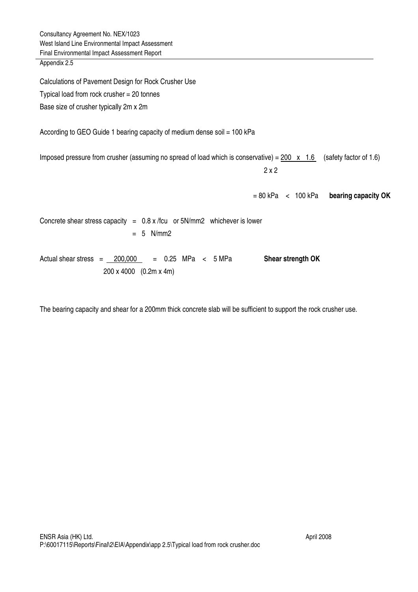## Appendix 2.5

Calculations of Pavement Design for Rock Crusher Use Typical load from rock crusher = 20 tonnes Base size of crusher typically 2m x 2m

According to GEO Guide 1 bearing capacity of medium dense soil = 100 kPa

Imposed pressure from crusher (assuming no spread of load which is conservative) =  $200 \times 1.6$  (safety factor of 1.6)  $2 \times 2$ 

= 80 kPa < 100 kPa **bearing capacity OK**

Concrete shear stress capacity =  $0.8 \times$  /fcu or 5N/mm2 whichever is lower  $= 5$  N/mm2 Actual shear stress = 200,000 = 0.25 MPa < 5 MPa **Shear strength OK** 200 x 4000 (0.2m x 4m)

The bearing capacity and shear for a 200mm thick concrete slab will be sufficient to support the rock crusher use.